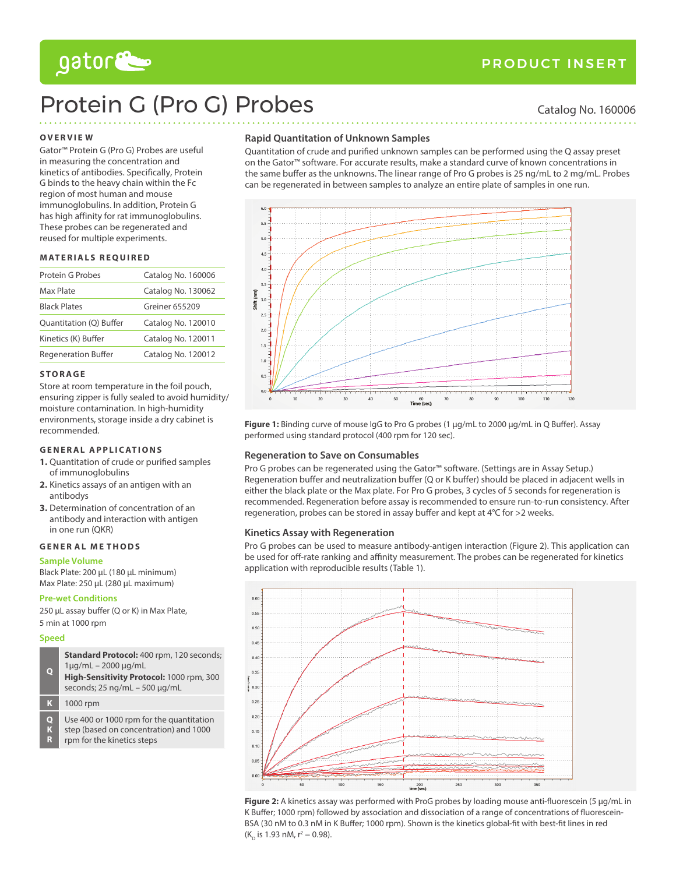# gator

# Protein G (Pro G) Probes Catalog No. 160006

### **Overvie w**

Gator™ Protein G (Pro G) Probes are useful in measuring the concentration and kinetics of antibodies. Specifically, Protein G binds to the heavy chain within the Fc region of most human and mouse immunoglobulins. In addition, Protein G has high affinity for rat immunoglobulins. These probes can be regenerated and reused for multiple experiments.

#### **M aterials required**

| Protein G Probes                                 | Catalog No. 160006 |  |
|--------------------------------------------------|--------------------|--|
| Max Plate                                        | Catalog No. 130062 |  |
| <b>Black Plates</b>                              | Greiner 655209     |  |
| Quantitation (Q) Buffer<br>Catalog No. 120010    |                    |  |
| Kinetics (K) Buffer                              | Catalog No. 120011 |  |
| <b>Regeneration Buffer</b><br>Catalog No. 120012 |                    |  |

#### **S to r ag e**

Store at room temperature in the foil pouch, ensuring zipper is fully sealed to avoid humidity/ moisture contamination. In high-humidity environments, storage inside a dry cabinet is recommended.

## **GENERAL APPLICATIONS**

- **1.** Quantitation of crude or purified samples of immunoglobulins
- **2.** Kinetics assays of an antigen with an antibodys
- **3.** Determination of concentration of an antibody and interaction with antigen in one run (QKR)

#### **gene r al M e thOds**

#### **Sample Volume**

Black Plate: 200 µL (180 µL minimum) Max Plate: 250 µL (280 µL maximum)

### **Pre-wet Conditions**

250 µL assay buffer (Q or K) in Max Plate, 5 min at 1000 rpm

#### **Speed**

| $\mathbf Q$ | Standard Protocol: 400 rpm, 120 seconds;<br>$1\mu q/mL - 2000 \mu q/mL$<br>High-Sensitivity Protocol: 1000 rpm, 300<br>seconds; $25 \text{ ng/mL} - 500 \text{ µg/mL}$ |
|-------------|------------------------------------------------------------------------------------------------------------------------------------------------------------------------|
| K           | 1000 rpm                                                                                                                                                               |
| Q<br>K<br>R | Use 400 or 1000 rpm for the quantitation<br>step (based on concentration) and 1000<br>rpm for the kinetics steps                                                       |

### **Rapid Quantitation of Unknown Samples**

Quantitation of crude and purified unknown samples can be performed using the Q assay preset on the Gator™ software. For accurate results, make a standard curve of known concentrations in the same buffer as the unknowns. The linear range of Pro G probes is 25 ng/mL to 2 mg/mL. Probes can be regenerated in between samples to analyze an entire plate of samples in one run.



**Figure 1:** Binding curve of mouse IgG to Pro G probes (1 µg/mL to 2000 µg/mL in Q Buffer). Assay performed using standard protocol (400 rpm for 120 sec).

### **Regeneration to Save on Consumables**

Pro G probes can be regenerated using the Gator™ software. (Settings are in Assay Setup.) Regeneration buffer and neutralization buffer (Q or K buffer) should be placed in adjacent wells in either the black plate or the Max plate. For Pro G probes, 3 cycles of 5 seconds for regeneration is recommended. Regeneration before assay is recommended to ensure run-to-run consistency. After regeneration, probes can be stored in assay buffer and kept at 4°C for >2 weeks.

### **Kinetics Assay with Regeneration**

Pro G probes can be used to measure antibody-antigen interaction (Figure 2). This application can be used for off-rate ranking and affinity measurement. The probes can be regenerated for kinetics application with reproducible results (Table 1).



**Figure 2:** A kinetics assay was performed with ProG probes by loading mouse anti-fluorescein (5 µg/mL in K Buffer; 1000 rpm) followed by association and dissociation of a range of concentrations of fluorescein-BSA (30 nM to 0.3 nM in K Buffer; 1000 rpm). Shown is the kinetics global-fit with best-fit lines in red (K<sub>D</sub> is 1.93 nM, r<sup>2</sup> = 0.98).